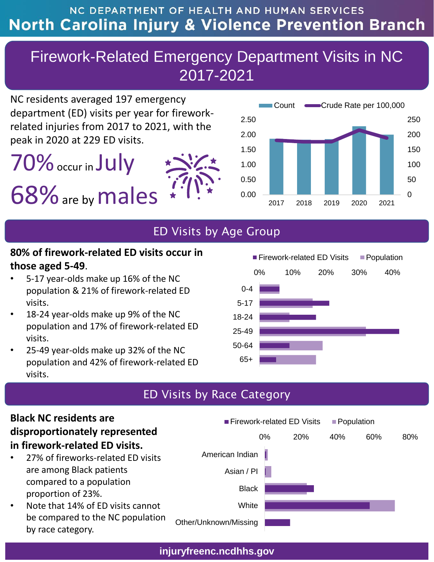## NC DEPARTMENT OF HEALTH AND HUMAN SERVICES **North Carolina Injury & Violence Prevention Branch**

## Firework-Related Emergency Department Visits in NC 2017-2021

NC residents averaged 197 emergency department (ED) visits per year for fireworkrelated injuries from 2017 to 2021, with the peak in 2020 at 229 ED visits.

# 70%occur in July 68%are by males



## ED Visits by Age Group

#### **80% of firework-related ED visits occur in those aged 5-49**.

- 5-17 year-olds make up 16% of the NC population & 21% of firework-related ED visits.
- 18-24 year-olds make up 9% of the NC population and 17% of firework-related ED visits.
- 25-49 year-olds make up 32% of the NC population and 42% of firework-related ED visits.



#### ED Visits by Race Category



**injuryfreenc.ncdhhs.gov**